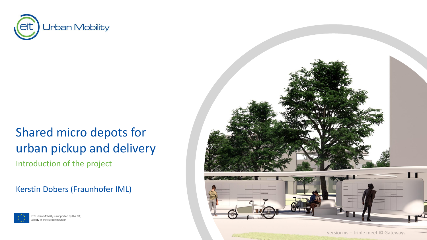

# Shared micro depots for urban pickup and delivery Introduction of the project

### Kerstin Dobers (Fraunhofer IML)



EIT Urban Mobility is supported by the EIT, a body of the European Union

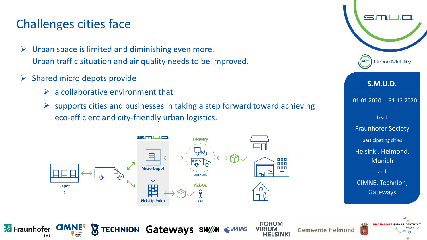## Challenges cities face

- $\triangleright$  Urban space is limited and diminishing even more. Urban traffic situation and air quality needs to be improved.
- $\triangleright$  Shared micro depots provide

**CIMNE<sup>9</sup>** 

Fraunhofer

IML

- $\triangleright$  a collaborative environment that
- $\triangleright$  supports cities and businesses in taking a step forward toward achieving eco-efficient and city-friendly urban logistics.



**TECHNION Gateways SW/M** 

**FORUM** 

**HELSINKI** 

**Gemeente Helmond** 



2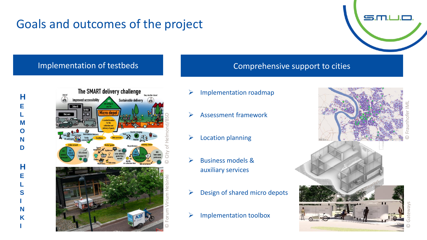# Goals and outcomes of the project

#### Implementation of testbeds and all the Comprehensive support to cities

**H**

**E**

**L M O N D**

**H**

**E L S I N K I**

- The SMART delivery challenge mproved accessibility plection a
	-

Sustainable delivery

© City of Helmond/BSD

© Forum Virium Helsinki

- ➢ Implementation roadmap
- ➢ Assessment framework
- ➢ Location planning
- ➢ Business models & auxiliary services
- $\triangleright$  Design of shared micro depots
- ➢ Implementation toolbox

© Gateways © Fraunhofer IML

 $S.m.$ 

3